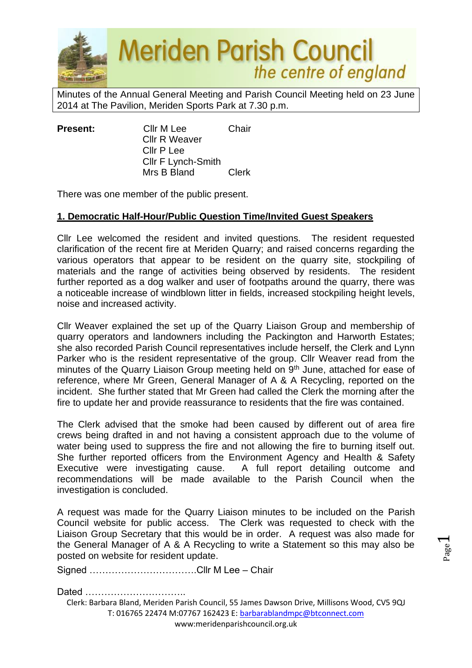

Minutes of the Annual General Meeting and Parish Council Meeting held on 23 June 2014 at The Pavilion, Meriden Sports Park at 7.30 p.m.

**Present:** Cllr M Lee Chair Cllr R Weaver Cllr P Lee Cllr F Lynch-Smith Mrs B Bland Clerk

There was one member of the public present.

#### **1. Democratic Half-Hour/Public Question Time/Invited Guest Speakers**

Cllr Lee welcomed the resident and invited questions. The resident requested clarification of the recent fire at Meriden Quarry; and raised concerns regarding the various operators that appear to be resident on the quarry site, stockpiling of materials and the range of activities being observed by residents. The resident further reported as a dog walker and user of footpaths around the quarry, there was a noticeable increase of windblown litter in fields, increased stockpiling height levels, noise and increased activity.

Cllr Weaver explained the set up of the Quarry Liaison Group and membership of quarry operators and landowners including the Packington and Harworth Estates; she also recorded Parish Council representatives include herself, the Clerk and Lynn Parker who is the resident representative of the group. Cllr Weaver read from the minutes of the Quarry Liaison Group meeting held on 9<sup>th</sup> June, attached for ease of reference, where Mr Green, General Manager of A & A Recycling, reported on the incident. She further stated that Mr Green had called the Clerk the morning after the fire to update her and provide reassurance to residents that the fire was contained.

The Clerk advised that the smoke had been caused by different out of area fire crews being drafted in and not having a consistent approach due to the volume of water being used to suppress the fire and not allowing the fire to burning itself out. She further reported officers from the Environment Agency and Health & Safety Executive were investigating cause. A full report detailing outcome and recommendations will be made available to the Parish Council when the investigation is concluded.

A request was made for the Quarry Liaison minutes to be included on the Parish Council website for public access. The Clerk was requested to check with the Liaison Group Secretary that this would be in order. A request was also made for the General Manager of A & A Recycling to write a Statement so this may also be posted on website for resident update.

Signed …………………………….Cllr M Lee – Chair

Dated …………………………..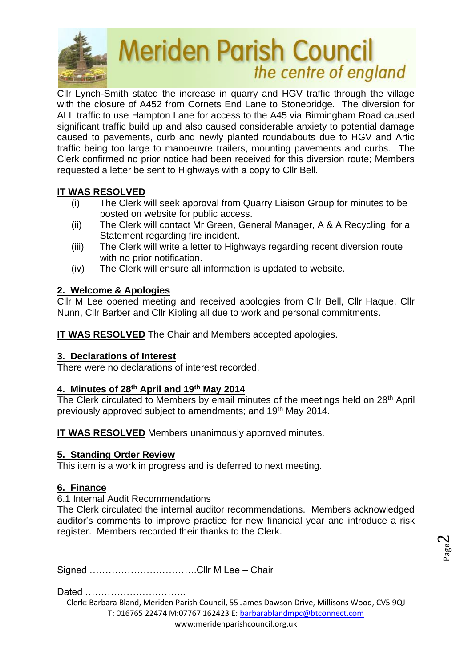

Cllr Lynch-Smith stated the increase in quarry and HGV traffic through the village with the closure of A452 from Cornets End Lane to Stonebridge. The diversion for ALL traffic to use Hampton Lane for access to the A45 via Birmingham Road caused significant traffic build up and also caused considerable anxiety to potential damage caused to pavements, curb and newly planted roundabouts due to HGV and Artic traffic being too large to manoeuvre trailers, mounting pavements and curbs. The Clerk confirmed no prior notice had been received for this diversion route; Members requested a letter be sent to Highways with a copy to Cllr Bell.

#### **IT WAS RESOLVED**

- (i) The Clerk will seek approval from Quarry Liaison Group for minutes to be posted on website for public access.
- (ii) The Clerk will contact Mr Green, General Manager, A & A Recycling, for a Statement regarding fire incident.
- (iii) The Clerk will write a letter to Highways regarding recent diversion route with no prior notification.
- (iv) The Clerk will ensure all information is updated to website.

#### **2. Welcome & Apologies**

Cllr M Lee opened meeting and received apologies from Cllr Bell, Cllr Haque, Cllr Nunn, Cllr Barber and Cllr Kipling all due to work and personal commitments.

**IT WAS RESOLVED** The Chair and Members accepted apologies.

#### **3. Declarations of Interest**

There were no declarations of interest recorded.

### **4. Minutes of 28th April and 19th May 2014**

The Clerk circulated to Members by email minutes of the meetings held on 28<sup>th</sup> April previously approved subject to amendments; and 19<sup>th</sup> May 2014.

**IT WAS RESOLVED** Members unanimously approved minutes.

#### **5. Standing Order Review**

This item is a work in progress and is deferred to next meeting.

#### **6. Finance**

6.1 Internal Audit Recommendations

The Clerk circulated the internal auditor recommendations. Members acknowledged auditor's comments to improve practice for new financial year and introduce a risk register. Members recorded their thanks to the Clerk.

Signed …………………………….Cllr M Lee – Chair

Dated …………………………..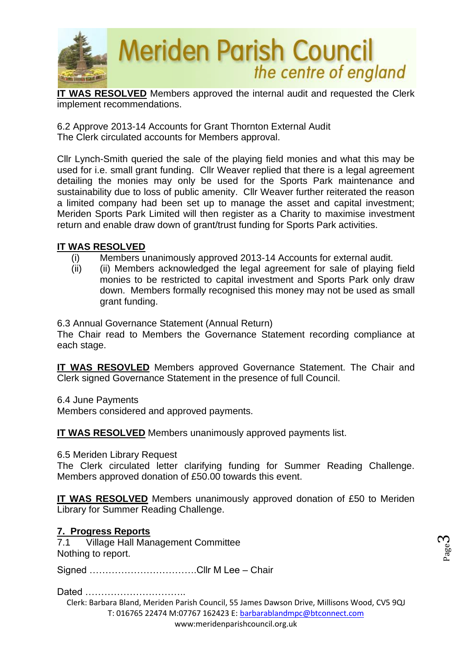

**IT WAS RESOLVED** Members approved the internal audit and requested the Clerk implement recommendations.

6.2 Approve 2013-14 Accounts for Grant Thornton External Audit The Clerk circulated accounts for Members approval.

Cllr Lynch-Smith queried the sale of the playing field monies and what this may be used for i.e. small grant funding. Cllr Weaver replied that there is a legal agreement detailing the monies may only be used for the Sports Park maintenance and sustainability due to loss of public amenity. Cllr Weaver further reiterated the reason a limited company had been set up to manage the asset and capital investment; Meriden Sports Park Limited will then register as a Charity to maximise investment return and enable draw down of grant/trust funding for Sports Park activities.

#### **IT WAS RESOLVED**

- (i) Members unanimously approved 2013-14 Accounts for external audit.
- (ii) (ii) Members acknowledged the legal agreement for sale of playing field monies to be restricted to capital investment and Sports Park only draw down. Members formally recognised this money may not be used as small grant funding.

6.3 Annual Governance Statement (Annual Return)

The Chair read to Members the Governance Statement recording compliance at each stage.

**IT WAS RESOVLED** Members approved Governance Statement. The Chair and Clerk signed Governance Statement in the presence of full Council.

6.4 June Payments

Members considered and approved payments.

**IT WAS RESOLVED** Members unanimously approved payments list.

6.5 Meriden Library Request

The Clerk circulated letter clarifying funding for Summer Reading Challenge. Members approved donation of £50.00 towards this event.

**IT WAS RESOLVED** Members unanimously approved donation of £50 to Meriden Library for Summer Reading Challenge.

#### **7. Progress Reports**

7.1 Village Hall Management Committee Nothing to report.

Signed …………………………….Cllr M Lee – Chair

Dated …………………………..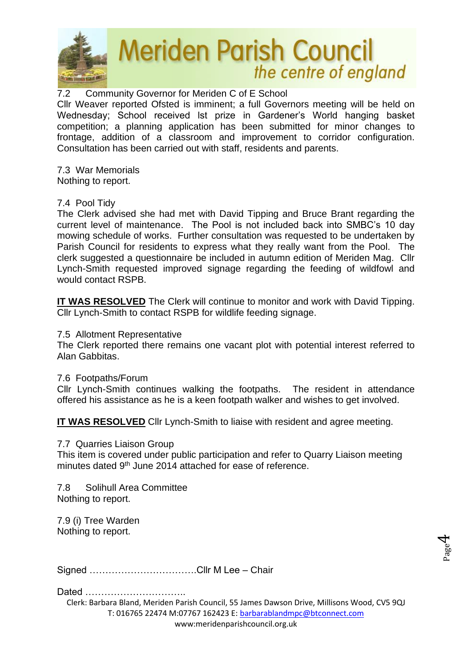

7.2 Community Governor for Meriden C of E School

Cllr Weaver reported Ofsted is imminent; a full Governors meeting will be held on Wednesday; School received lst prize in Gardener's World hanging basket competition; a planning application has been submitted for minor changes to frontage, addition of a classroom and improvement to corridor configuration. Consultation has been carried out with staff, residents and parents.

7.3 War Memorials Nothing to report.

#### 7.4 Pool Tidy

The Clerk advised she had met with David Tipping and Bruce Brant regarding the current level of maintenance. The Pool is not included back into SMBC's 10 day mowing schedule of works. Further consultation was requested to be undertaken by Parish Council for residents to express what they really want from the Pool. The clerk suggested a questionnaire be included in autumn edition of Meriden Mag. Cllr Lynch-Smith requested improved signage regarding the feeding of wildfowl and would contact RSPB.

**IT WAS RESOLVED** The Clerk will continue to monitor and work with David Tipping. Cllr Lynch-Smith to contact RSPB for wildlife feeding signage.

#### 7.5 Allotment Representative

The Clerk reported there remains one vacant plot with potential interest referred to Alan Gabbitas.

#### 7.6 Footpaths/Forum

Cllr Lynch-Smith continues walking the footpaths. The resident in attendance offered his assistance as he is a keen footpath walker and wishes to get involved.

**IT WAS RESOLVED** Cllr Lynch-Smith to liaise with resident and agree meeting.

#### 7.7 Quarries Liaison Group

This item is covered under public participation and refer to Quarry Liaison meeting minutes dated 9<sup>th</sup> June 2014 attached for ease of reference.

7.8 Solihull Area Committee Nothing to report.

7.9 (i) Tree Warden Nothing to report.

Signed …………………………….Cllr M Lee – Chair

Dated …………………………..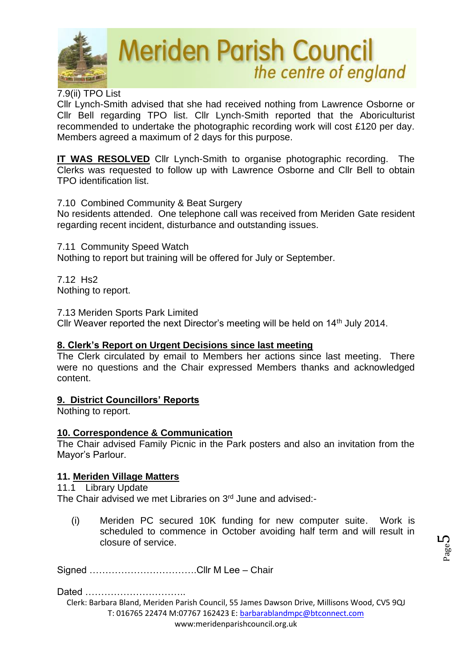

#### 7.9(ii) TPO List

Cllr Lynch-Smith advised that she had received nothing from Lawrence Osborne or Cllr Bell regarding TPO list. Cllr Lynch-Smith reported that the Aboriculturist recommended to undertake the photographic recording work will cost £120 per day. Members agreed a maximum of 2 days for this purpose.

**IT WAS RESOLVED** Cllr Lynch-Smith to organise photographic recording. The Clerks was requested to follow up with Lawrence Osborne and Cllr Bell to obtain TPO identification list.

#### 7.10 Combined Community & Beat Surgery

No residents attended. One telephone call was received from Meriden Gate resident regarding recent incident, disturbance and outstanding issues.

7.11 Community Speed Watch Nothing to report but training will be offered for July or September.

7.12 Hs2 Nothing to report.

7.13 Meriden Sports Park Limited Cllr Weaver reported the next Director's meeting will be held on 14<sup>th</sup> July 2014.

#### **8. Clerk's Report on Urgent Decisions since last meeting**

The Clerk circulated by email to Members her actions since last meeting. There were no questions and the Chair expressed Members thanks and acknowledged content.

#### **9. District Councillors' Reports**

Nothing to report.

#### **10. Correspondence & Communication**

The Chair advised Family Picnic in the Park posters and also an invitation from the Mayor's Parlour.

#### **11. Meriden Village Matters**

11.1 Library Update The Chair advised we met Libraries on 3rd June and advised:-

(i) Meriden PC secured 10K funding for new computer suite. Work is scheduled to commence in October avoiding half term and will result in closure of service.

Signed …………………………….Cllr M Lee – Chair

Dated …………………………..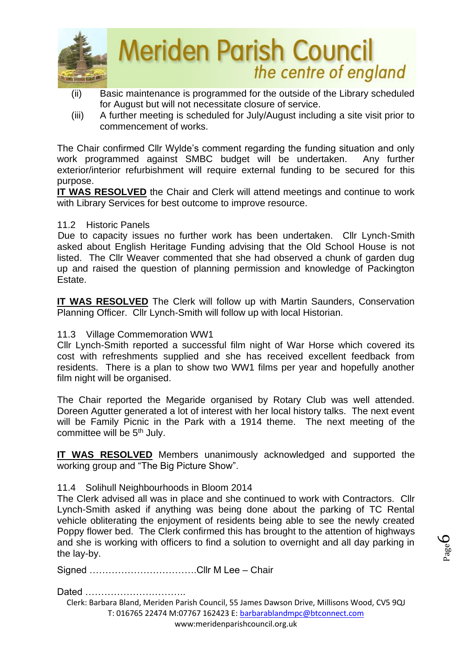

- (ii) Basic maintenance is programmed for the outside of the Library scheduled for August but will not necessitate closure of service.
- (iii) A further meeting is scheduled for July/August including a site visit prior to commencement of works.

The Chair confirmed Cllr Wylde's comment regarding the funding situation and only work programmed against SMBC budget will be undertaken. Any further exterior/interior refurbishment will require external funding to be secured for this purpose.

**IT WAS RESOLVED** the Chair and Clerk will attend meetings and continue to work with Library Services for best outcome to improve resource.

#### 11.2 Historic Panels

 Due to capacity issues no further work has been undertaken. Cllr Lynch-Smith asked about English Heritage Funding advising that the Old School House is not listed. The Cllr Weaver commented that she had observed a chunk of garden dug up and raised the question of planning permission and knowledge of Packington Estate.

**IT WAS RESOLVED** The Clerk will follow up with Martin Saunders, Conservation Planning Officer. Cllr Lynch-Smith will follow up with local Historian.

#### 11.3 Village Commemoration WW1

Cllr Lynch-Smith reported a successful film night of War Horse which covered its cost with refreshments supplied and she has received excellent feedback from residents. There is a plan to show two WW1 films per year and hopefully another film night will be organised.

The Chair reported the Megaride organised by Rotary Club was well attended. Doreen Agutter generated a lot of interest with her local history talks. The next event will be Family Picnic in the Park with a 1914 theme. The next meeting of the committee will be 5<sup>th</sup> July.

**IT WAS RESOLVED** Members unanimously acknowledged and supported the working group and "The Big Picture Show".

#### 11.4 Solihull Neighbourhoods in Bloom 2014

The Clerk advised all was in place and she continued to work with Contractors. Cllr Lynch-Smith asked if anything was being done about the parking of TC Rental vehicle obliterating the enjoyment of residents being able to see the newly created Poppy flower bed. The Clerk confirmed this has brought to the attention of highways and she is working with officers to find a solution to overnight and all day parking in the lay-by.

Signed …………………………….Cllr M Lee – Chair

Dated …………………………..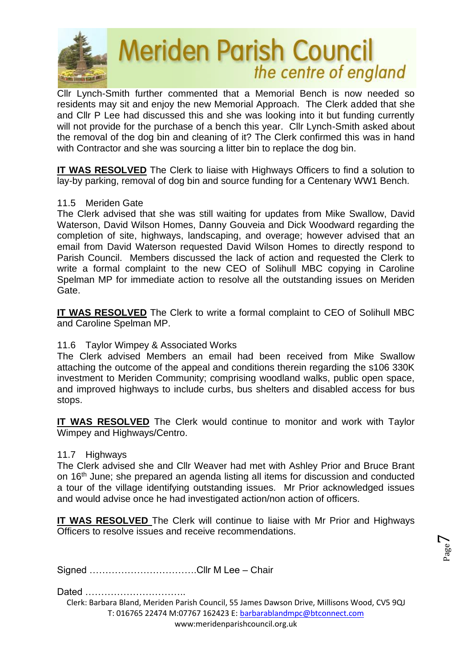

Cllr Lynch-Smith further commented that a Memorial Bench is now needed so residents may sit and enjoy the new Memorial Approach. The Clerk added that she and Cllr P Lee had discussed this and she was looking into it but funding currently will not provide for the purchase of a bench this year. Cllr Lynch-Smith asked about the removal of the dog bin and cleaning of it? The Clerk confirmed this was in hand with Contractor and she was sourcing a litter bin to replace the dog bin.

**IT WAS RESOLVED** The Clerk to liaise with Highways Officers to find a solution to lay-by parking, removal of dog bin and source funding for a Centenary WW1 Bench.

#### 11.5 Meriden Gate

The Clerk advised that she was still waiting for updates from Mike Swallow, David Waterson, David Wilson Homes, Danny Gouveia and Dick Woodward regarding the completion of site, highways, landscaping, and overage; however advised that an email from David Waterson requested David Wilson Homes to directly respond to Parish Council. Members discussed the lack of action and requested the Clerk to write a formal complaint to the new CEO of Solihull MBC copying in Caroline Spelman MP for immediate action to resolve all the outstanding issues on Meriden Gate.

**IT WAS RESOLVED** The Clerk to write a formal complaint to CEO of Solihull MBC and Caroline Spelman MP.

#### 11.6 Taylor Wimpey & Associated Works

The Clerk advised Members an email had been received from Mike Swallow attaching the outcome of the appeal and conditions therein regarding the s106 330K investment to Meriden Community; comprising woodland walks, public open space, and improved highways to include curbs, bus shelters and disabled access for bus stops.

**IT WAS RESOLVED** The Clerk would continue to monitor and work with Taylor Wimpey and Highways/Centro.

#### 11.7 Highways

The Clerk advised she and Cllr Weaver had met with Ashley Prior and Bruce Brant on 16<sup>th</sup> June; she prepared an agenda listing all items for discussion and conducted a tour of the village identifying outstanding issues. Mr Prior acknowledged issues and would advise once he had investigated action/non action of officers.

**IT WAS RESOLVED** The Clerk will continue to liaise with Mr Prior and Highways Officers to resolve issues and receive recommendations.

Signed …………………………….Cllr M Lee – Chair

Dated …………………………..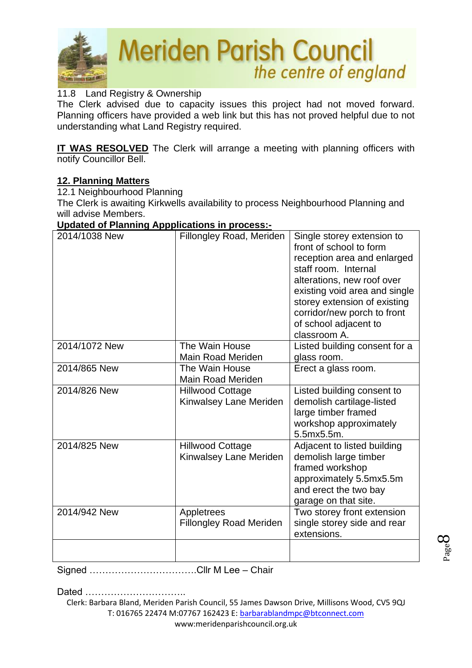

#### 11.8 Land Registry & Ownership

The Clerk advised due to capacity issues this project had not moved forward. Planning officers have provided a web link but this has not proved helpful due to not understanding what Land Registry required.

**IT WAS RESOLVED** The Clerk will arrange a meeting with planning officers with notify Councillor Bell.

#### **12. Planning Matters**

12.1 Neighbourhood Planning

The Clerk is awaiting Kirkwells availability to process Neighbourhood Planning and will advise Members.

#### **Updated of Planning Appplications in process:-**

| 2014/1038 New | <b>Fillongley Road, Meriden</b>                   | Single storey extension to<br>front of school to form<br>reception area and enlarged<br>staff room. Internal<br>alterations, new roof over<br>existing void area and single<br>storey extension of existing<br>corridor/new porch to front<br>of school adjacent to<br>classroom A. |
|---------------|---------------------------------------------------|-------------------------------------------------------------------------------------------------------------------------------------------------------------------------------------------------------------------------------------------------------------------------------------|
| 2014/1072 New | The Wain House<br><b>Main Road Meriden</b>        | Listed building consent for a<br>glass room.                                                                                                                                                                                                                                        |
| 2014/865 New  | The Wain House<br><b>Main Road Meriden</b>        | Erect a glass room.                                                                                                                                                                                                                                                                 |
| 2014/826 New  | <b>Hillwood Cottage</b><br>Kinwalsey Lane Meriden | Listed building consent to<br>demolish cartilage-listed<br>large timber framed<br>workshop approximately<br>5.5mx5.5m.                                                                                                                                                              |
| 2014/825 New  | <b>Hillwood Cottage</b><br>Kinwalsey Lane Meriden | Adjacent to listed building<br>demolish large timber<br>framed workshop<br>approximately 5.5mx5.5m<br>and erect the two bay<br>garage on that site.                                                                                                                                 |
| 2014/942 New  | Appletrees<br><b>Fillongley Road Meriden</b>      | Two storey front extension<br>single storey side and rear<br>extensions.                                                                                                                                                                                                            |
|               |                                                   |                                                                                                                                                                                                                                                                                     |

Signed …………………………….Cllr M Lee – Chair

Dated …………………………..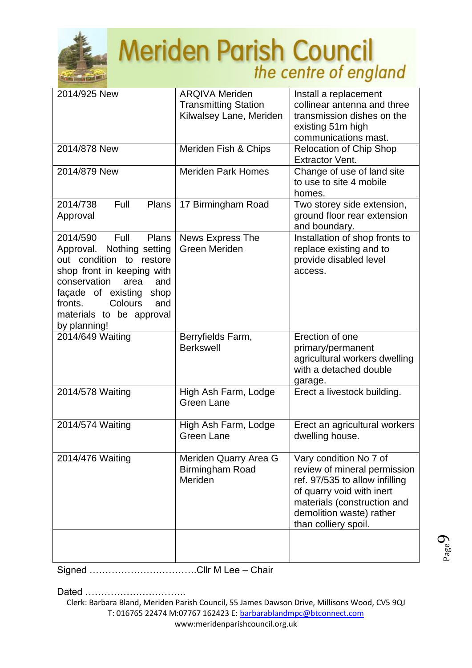

| 2014/925 New                                              | <b>ARQIVA Meriden</b>                                  | Install a replacement                                     |
|-----------------------------------------------------------|--------------------------------------------------------|-----------------------------------------------------------|
|                                                           | <b>Transmitting Station</b><br>Kilwalsey Lane, Meriden | collinear antenna and three<br>transmission dishes on the |
|                                                           |                                                        | existing 51m high                                         |
|                                                           |                                                        | communications mast.                                      |
| 2014/878 New                                              | Meriden Fish & Chips                                   | <b>Relocation of Chip Shop</b>                            |
|                                                           |                                                        | <b>Extractor Vent.</b>                                    |
| 2014/879 New                                              | <b>Meriden Park Homes</b>                              | Change of use of land site                                |
|                                                           |                                                        | to use to site 4 mobile                                   |
| 2014/738<br>Full<br><b>Plans</b>                          | 17 Birmingham Road                                     | homes.<br>Two storey side extension,                      |
| Approval                                                  |                                                        | ground floor rear extension                               |
|                                                           |                                                        | and boundary.                                             |
| Full<br>Plans<br>2014/590                                 | <b>News Express The</b>                                | Installation of shop fronts to                            |
| Approval. Nothing setting                                 | <b>Green Meriden</b>                                   | replace existing and to                                   |
| out condition to restore                                  |                                                        | provide disabled level                                    |
| shop front in keeping with                                |                                                        | access.                                                   |
| conservation<br>area<br>and<br>façade of existing<br>shop |                                                        |                                                           |
| Colours<br>fronts.<br>and                                 |                                                        |                                                           |
| materials to be approval                                  |                                                        |                                                           |
| by planning!                                              |                                                        |                                                           |
| 2014/649 Waiting                                          | Berryfields Farm,                                      | Erection of one                                           |
|                                                           | <b>Berkswell</b>                                       | primary/permanent                                         |
|                                                           |                                                        | agricultural workers dwelling<br>with a detached double   |
|                                                           |                                                        | garage.                                                   |
| 2014/578 Waiting                                          | High Ash Farm, Lodge                                   | Erect a livestock building.                               |
|                                                           | <b>Green Lane</b>                                      |                                                           |
|                                                           |                                                        |                                                           |
| 2014/574 Waiting                                          | High Ash Farm, Lodge                                   | Erect an agricultural workers                             |
|                                                           | <b>Green Lane</b>                                      | dwelling house.                                           |
| 2014/476 Waiting                                          | Meriden Quarry Area G                                  | Vary condition No 7 of                                    |
|                                                           | <b>Birmingham Road</b>                                 | review of mineral permission                              |
|                                                           | Meriden                                                | ref. 97/535 to allow infilling                            |
|                                                           |                                                        | of quarry void with inert                                 |
|                                                           |                                                        | materials (construction and                               |
|                                                           |                                                        | demolition waste) rather<br>than colliery spoil.          |
|                                                           |                                                        |                                                           |
|                                                           |                                                        |                                                           |
|                                                           |                                                        |                                                           |

Signed …………………………….Cllr M Lee – Chair

Dated …………………………..

Page  $\sigma$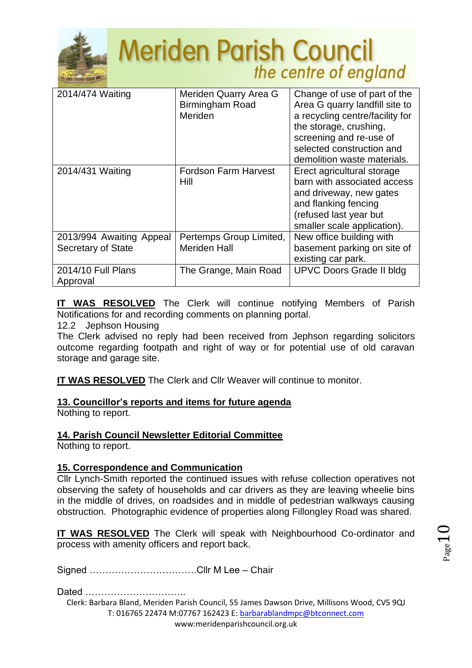

| 2014/474 Waiting                                      | Meriden Quarry Area G<br><b>Birmingham Road</b><br>Meriden | Change of use of part of the<br>Area G quarry landfill site to<br>a recycling centre/facility for<br>the storage, crushing.<br>screening and re-use of<br>selected construction and<br>demolition waste materials. |
|-------------------------------------------------------|------------------------------------------------------------|--------------------------------------------------------------------------------------------------------------------------------------------------------------------------------------------------------------------|
| 2014/431 Waiting                                      | <b>Fordson Farm Harvest</b><br>Hill                        | Erect agricultural storage<br>barn with associated access<br>and driveway, new gates<br>and flanking fencing<br>(refused last year but<br>smaller scale application).                                              |
| 2013/994 Awaiting Appeal<br><b>Secretary of State</b> | Pertemps Group Limited,<br><b>Meriden Hall</b>             | New office building with<br>basement parking on site of<br>existing car park.                                                                                                                                      |
| 2014/10 Full Plans<br>Approval                        | The Grange, Main Road                                      | <b>UPVC Doors Grade II bldg</b>                                                                                                                                                                                    |

**IT WAS RESOLVED** The Clerk will continue notifying Members of Parish Notifications for and recording comments on planning portal.

12.2 Jephson Housing

The Clerk advised no reply had been received from Jephson regarding solicitors outcome regarding footpath and right of way or for potential use of old caravan storage and garage site.

**IT WAS RESOLVED** The Clerk and Cllr Weaver will continue to monitor.

#### **13. Councillor's reports and items for future agenda**

Nothing to report.

#### **14. Parish Council Newsletter Editorial Committee**

Nothing to report.

#### **15. Correspondence and Communication**

Cllr Lynch-Smith reported the continued issues with refuse collection operatives not observing the safety of households and car drivers as they are leaving wheelie bins in the middle of drives, on roadsides and in middle of pedestrian walkways causing obstruction. Photographic evidence of properties along Fillongley Road was shared.

**IT WAS RESOLVED** The Clerk will speak with Neighbourhood Co-ordinator and process with amenity officers and report back.

Signed …………………………….Cllr M Lee – Chair

Dated …………………………..